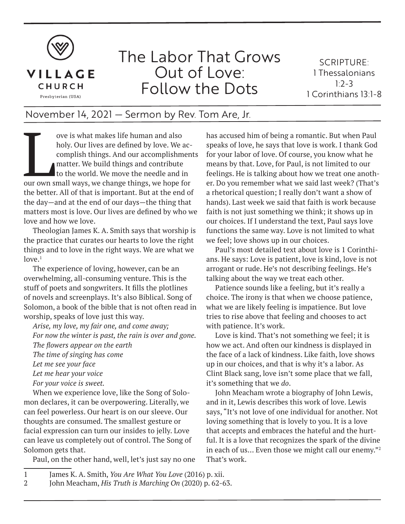

## The Labor That Grows Out of Love: Follow the Dots

SCRIPTURE: 1 Thessalonians  $1.2 - 3$ 1 Corinthians 13:1-8

## November 14, 2021 — Sermon by Rev. Tom Are, Jr.

ove is what makes life human and also<br>holy. Our lives are defined by love. We accomplish things. And our accomplishmen<br>matter. We build things and contribute<br>to the world. We move the needle and in<br>our own small ways, we c holy. Our lives are defined by love. We accomplish things. And our accomplishments matter. We build things and contribute to the world. We move the needle and in the better. All of that is important. But at the end of the day—and at the end of our days—the thing that matters most is love. Our lives are defined by who we love and how we love.

Theologian James K. A. Smith says that worship is the practice that curates our hearts to love the right things and to love in the right ways. We are what we  $love.<sup>1</sup>$ 

The experience of loving, however, can be an overwhelming, all-consuming venture. This is the stuff of poets and songwriters. It fills the plotlines of novels and screenplays. It's also Biblical. Song of Solomon, a book of the bible that is not often read in worship, speaks of love just this way.

*Arise, my love, my fair one, and come away; For now the winter is past, the rain is over and gone. The flowers appear on the earth The time of singing has come Let me see your face Let me hear your voice For your voice is sweet.*  When we experience love, like the Song of Solo-

mon declares, it can be overpowering. Literally, we can feel powerless. Our heart is on our sleeve. Our thoughts are consumed. The smallest gesture or facial expression can turn our insides to jelly. Love can leave us completely out of control. The Song of Solomon gets that.

Paul, on the other hand, well, let's just say no one

has accused him of being a romantic. But when Paul speaks of love, he says that love is work. I thank God for your labor of love. Of course, you know what he means by that. Love, for Paul, is not limited to our feelings. He is talking about how we treat one another. Do you remember what we said last week? (That's a rhetorical question; I really don't want a show of hands). Last week we said that faith is work because faith is not just something we think; it shows up in our choices. If I understand the text, Paul says love functions the same way. Love is not limited to what we feel; love shows up in our choices.

Paul's most detailed text about love is 1 Corinthians. He says: Love is patient, love is kind, love is not arrogant or rude. He's not describing feelings. He's talking about the way we treat each other.

Patience sounds like a feeling, but it's really a choice. The irony is that when we choose patience, what we are likely feeling is impatience. But love tries to rise above that feeling and chooses to act with patience. It's work.

Love is kind. That's not something we feel; it is how we act. And often our kindness is displayed in the face of a lack of kindness. Like faith, love shows up in our choices, and that is why it's a labor. As Clint Black sang, love isn't some place that we fall, it's something that we *do*.

John Meacham wrote a biography of John Lewis, and in it, Lewis describes this work of love. Lewis says, "It's not love of one individual for another. Not loving something that is lovely to you. It is a love that accepts and embraces the hateful and the hurtful. It is a love that recognizes the spark of the divine in each of us… Even those we might call our enemy."<sup>2</sup> That's work.

<sup>1</sup> James K. A. Smith, *You Are What You Love* (2016) p. xii.

<sup>2</sup> John Meacham, *His Truth is Marching On* (2020) p. 62-63.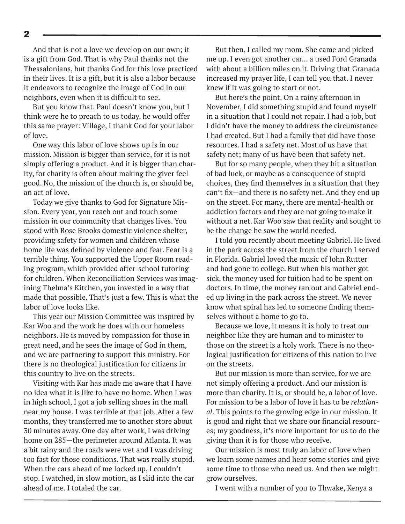And that is not a love we develop on our own; it is a gift from God. That is why Paul thanks not the Thessalonians, but thanks God for this love practiced in their lives. It is a gift, but it is also a labor because it endeavors to recognize the image of God in our neighbors, even when it is difficult to see.

But you know that. Paul doesn't know you, but I think were he to preach to us today, he would offer this same prayer: Village, I thank God for your labor of love.

One way this labor of love shows up is in our mission. Mission is bigger than service, for it is not simply offering a product. And it is bigger than charity, for charity is often about making the giver feel good. No, the mission of the church is, or should be, an act of love.

Today we give thanks to God for Signature Mission. Every year, you reach out and touch some mission in our community that changes lives. You stood with Rose Brooks domestic violence shelter, providing safety for women and children whose home life was defined by violence and fear. Fear is a terrible thing. You supported the Upper Room reading program, which provided after-school tutoring for children. When Reconciliation Services was imagining Thelma's Kitchen, you invested in a way that made that possible. That's just a few. This is what the labor of love looks like.

This year our Mission Committee was inspired by Kar Woo and the work he does with our homeless neighbors. He is moved by compassion for those in great need, and he sees the image of God in them, and we are partnering to support this ministry. For there is no theological justification for citizens in this country to live on the streets.

Visiting with Kar has made me aware that I have no idea what it is like to have no home. When I was in high school, I got a job selling shoes in the mall near my house. I was terrible at that job. After a few months, they transferred me to another store about 30 minutes away. One day after work, I was driving home on 285—the perimeter around Atlanta. It was a bit rainy and the roads were wet and I was driving too fast for those conditions. That was really stupid. When the cars ahead of me locked up, I couldn't stop. I watched, in slow motion, as I slid into the car ahead of me. I totaled the car.

But then, I called my mom. She came and picked me up. I even got another car... a used Ford Granada with about a billion miles on it. Driving that Granada increased my prayer life, I can tell you that. I never knew if it was going to start or not.

But here's the point. On a rainy afternoon in November, I did something stupid and found myself in a situation that I could not repair. I had a job, but I didn't have the money to address the circumstance I had created. But I had a family that did have those resources. I had a safety net. Most of us have that safety net; many of us have been that safety net.

But for so many people, when they hit a situation of bad luck, or maybe as a consequence of stupid choices, they find themselves in a situation that they can't fix—and there is no safety net. And they end up on the street. For many, there are mental-health or addiction factors and they are not going to make it without a net. Kar Woo saw that reality and sought to be the change he saw the world needed.

I told you recently about meeting Gabriel. He lived in the park across the street from the church I served in Florida. Gabriel loved the music of John Rutter and had gone to college. But when his mother got sick, the money used for tuition had to be spent on doctors. In time, the money ran out and Gabriel ended up living in the park across the street. We never know what spiral has led to someone finding themselves without a home to go to.

Because we love, it means it is holy to treat our neighbor like they are human and to minister to those on the street is a holy work. There is no theological justification for citizens of this nation to live on the streets.

But our mission is more than service, for we are not simply offering a product. And our mission is more than charity. It is, or should be, a labor of love. For mission to be a labor of love it has to be *relational*. This points to the growing edge in our mission. It is good and right that we share our financial resources; my goodness, it's more important for us to do the giving than it is for those who receive.

Our mission is most truly an labor of love when we learn some names and hear some stories and give some time to those who need us. And then we might grow ourselves.

I went with a number of you to Thwake, Kenya a